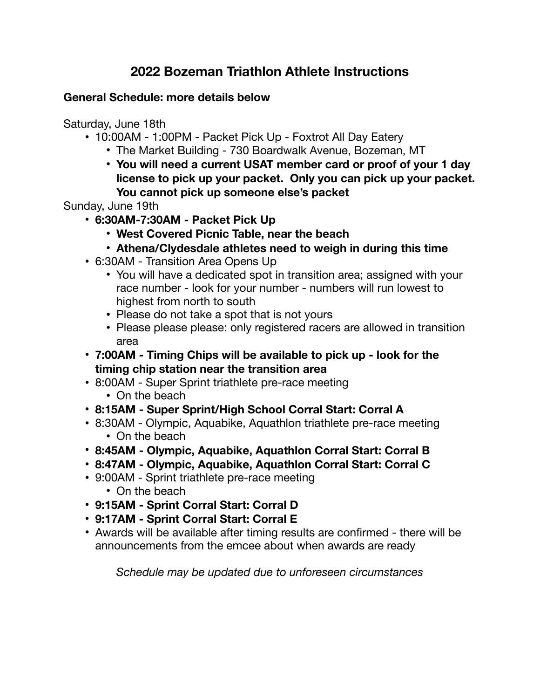# **2022 Bozeman Triathlon Athlete Instructions**

# **General Schedule: more details below**

Saturday, June 18th

- 10:00AM 1:00PM Packet Pick Up Foxtrot All Day Eatery
	- The Market Building 730 Boardwalk Avenue, Bozeman, MT
	- **• You will need a current USAT member card or proof of your 1 day license to pick up your packet. Only you can pick up your packet. You cannot pick up someone else's packet**

Sunday, June 19th

- **• 6:30AM-7:30AM Packet Pick Up** 
	- **• West Covered Picnic Table, near the beach**
	- **• Athena/Clydesdale athletes need to weigh in during this time**
- 6:30AM Transition Area Opens Up
	- You will have a dedicated spot in transition area; assigned with your race number - look for your number - numbers will run lowest to highest from north to south
	- Please do not take a spot that is not yours
	- Please please please: only registered racers are allowed in transition area
- **• 7:00AM Timing Chips will be available to pick up look for the timing chip station near the transition area**
- 8:00AM Super Sprint triathlete pre-race meeting
	- On the beach
- **• 8:15AM Super Sprint/High School Corral Start: Corral A**
- 8:30AM Olympic, Aquabike, Aquathlon triathlete pre-race meeting • On the beach
- **• 8:45AM Olympic, Aquabike, Aquathlon Corral Start: Corral B**
- **• 8:47AM Olympic, Aquabike, Aquathlon Corral Start: Corral C**
- 9:00AM Sprint triathlete pre-race meeting • On the beach
- **• 9:15AM Sprint Corral Start: Corral D**
- **• 9:17AM Sprint Corral Start: Corral E**
- Awards will be available after timing results are confirmed there will be announcements from the emcee about when awards are ready

*Schedule may be updated due to unforeseen circumstances*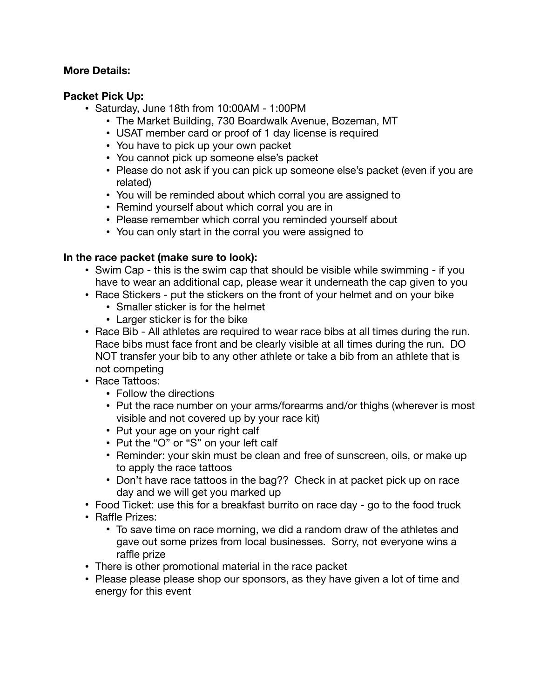#### **More Details:**

## **Packet Pick Up:**

- Saturday, June 18th from 10:00AM 1:00PM
	- The Market Building, 730 Boardwalk Avenue, Bozeman, MT
	- USAT member card or proof of 1 day license is required
	- You have to pick up your own packet
	- You cannot pick up someone else's packet
	- Please do not ask if you can pick up someone else's packet (even if you are related)
	- You will be reminded about which corral you are assigned to
	- Remind yourself about which corral you are in
	- Please remember which corral you reminded yourself about
	- You can only start in the corral you were assigned to

## **In the race packet (make sure to look):**

- Swim Cap this is the swim cap that should be visible while swimming if you have to wear an additional cap, please wear it underneath the cap given to you
- Race Stickers put the stickers on the front of your helmet and on your bike
	- Smaller sticker is for the helmet
	- Larger sticker is for the bike
- Race Bib All athletes are required to wear race bibs at all times during the run. Race bibs must face front and be clearly visible at all times during the run. DO NOT transfer your bib to any other athlete or take a bib from an athlete that is not competing
- Race Tattoos:
	- Follow the directions
	- Put the race number on your arms/forearms and/or thighs (wherever is most visible and not covered up by your race kit)
	- Put your age on your right calf
	- Put the "O" or "S" on your left calf
	- Reminder: your skin must be clean and free of sunscreen, oils, or make up to apply the race tattoos
	- Don't have race tattoos in the bag?? Check in at packet pick up on race day and we will get you marked up
- Food Ticket: use this for a breakfast burrito on race day go to the food truck
- Raffle Prizes:
	- To save time on race morning, we did a random draw of the athletes and gave out some prizes from local businesses. Sorry, not everyone wins a raffle prize
- There is other promotional material in the race packet
- Please please please shop our sponsors, as they have given a lot of time and energy for this event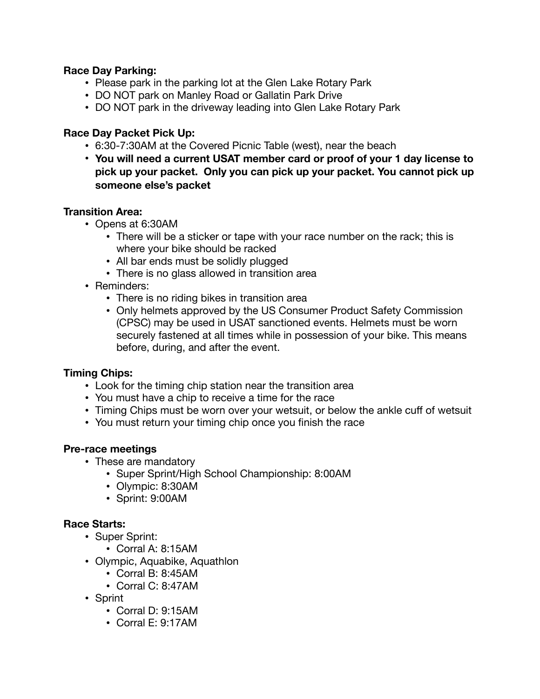#### **Race Day Parking:**

- Please park in the parking lot at the Glen Lake Rotary Park
- DO NOT park on Manley Road or Gallatin Park Drive
- DO NOT park in the driveway leading into Glen Lake Rotary Park

#### **Race Day Packet Pick Up:**

- 6:30-7:30AM at the Covered Picnic Table (west), near the beach
- **• You will need a current USAT member card or proof of your 1 day license to pick up your packet. Only you can pick up your packet. You cannot pick up someone else's packet**

#### **Transition Area:**

- Opens at 6:30AM
	- There will be a sticker or tape with your race number on the rack; this is where your bike should be racked
	- All bar ends must be solidly plugged
	- There is no glass allowed in transition area
- Reminders:
	- There is no riding bikes in transition area
	- Only helmets approved by the US Consumer Product Safety Commission (CPSC) may be used in USAT sanctioned events. Helmets must be worn securely fastened at all times while in possession of your bike. This means before, during, and after the event.

## **Timing Chips:**

- Look for the timing chip station near the transition area
- You must have a chip to receive a time for the race
- Timing Chips must be worn over your wetsuit, or below the ankle cuff of wetsuit
- You must return your timing chip once you finish the race

#### **Pre-race meetings**

- These are mandatory
	- Super Sprint/High School Championship: 8:00AM
	- Olympic: 8:30AM
	- Sprint: 9:00AM

## **Race Starts:**

- Super Sprint:
	- Corral A: 8:15AM
- Olympic, Aquabike, Aquathlon
	- Corral B: 8:45AM
	- Corral C: 8:47AM
- Sprint
	- Corral D: 9:15AM
	- Corral E: 9:17AM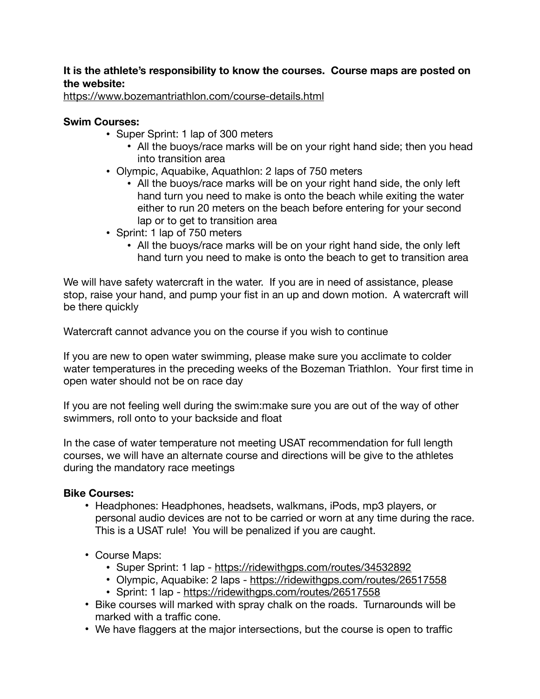## **It is the athlete's responsibility to know the courses. Course maps are posted on the website:**

<https://www.bozemantriathlon.com/course-details.html>

#### **Swim Courses:**

- Super Sprint: 1 lap of 300 meters
	- All the buoys/race marks will be on your right hand side; then you head into transition area
- Olympic, Aquabike, Aquathlon: 2 laps of 750 meters
	- All the buoys/race marks will be on your right hand side, the only left hand turn you need to make is onto the beach while exiting the water either to run 20 meters on the beach before entering for your second lap or to get to transition area
- Sprint: 1 lap of 750 meters
	- All the buoys/race marks will be on your right hand side, the only left hand turn you need to make is onto the beach to get to transition area

We will have safety watercraft in the water. If you are in need of assistance, please stop, raise your hand, and pump your fist in an up and down motion. A watercraft will be there quickly

Watercraft cannot advance you on the course if you wish to continue

If you are new to open water swimming, please make sure you acclimate to colder water temperatures in the preceding weeks of the Bozeman Triathlon. Your first time in open water should not be on race day

If you are not feeling well during the swim:make sure you are out of the way of other swimmers, roll onto to your backside and float

In the case of water temperature not meeting USAT recommendation for full length courses, we will have an alternate course and directions will be give to the athletes during the mandatory race meetings

#### **Bike Courses:**

- Headphones: Headphones, headsets, walkmans, iPods, mp3 players, or personal audio devices are not to be carried or worn at any time during the race. This is a USAT rule! You will be penalized if you are caught.
- Course Maps:
	- Super Sprint: 1 lap <https://ridewithgps.com/routes/34532892>
	- Olympic, Aquabike: 2 laps <https://ridewithgps.com/routes/26517558>
	- Sprint: 1 lap -<https://ridewithgps.com/routes/26517558>
- Bike courses will marked with spray chalk on the roads. Turnarounds will be marked with a traffic cone.
- We have flaggers at the major intersections, but the course is open to traffic